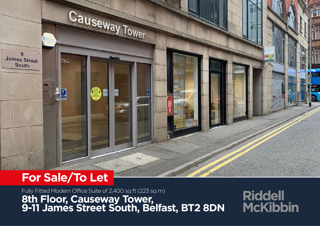# Causeway Tower  $\overline{9}$ **James Street South**

# **For Sale/To Let**

Fully Fitted Modern Office Suite of 2,400 sq ft (223 sq m) **8th Floor, Causeway Tower, 9-11 James Street South, Belfast, BT2 8DN**

**Riddell McKibbin**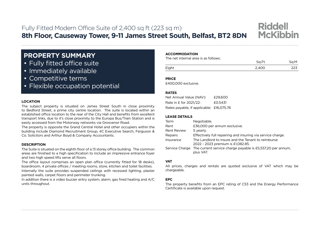### Fully Fitted Modern Office Suite of 2,400 sq ft (223 sq m) **8th Floor, Causeway Tower, 9-11 James Street South, Belfast, BT2 8DN**



- Fully fitted office suite
- • Immediately available
- • Competitive terms
- Flexible occupation potential

#### **LOCATION**

The subject property is situated on James Street South in close proximity to Bedford Street, a prime city centre location. The suite is located within an established office location to the rear of the City Hall and benefits from excellent transport links, due to it's close proximity to the Europa Bus/Train Station and is easily accessed from the Motorway networks via Grosvenor Road.

The property is opposite the Grand Central Hotel and other occupiers within the building include Diamond Recruitment Group, 4C Executive Search, Ferguson & Co. Solicitors and Arthur Boyd & Company Accountants.

#### **DESCRIPTION**

The Suite is situated on the eighth floor of a 13 storey office building. The common areas are finished to a high specification to include an impressive entrance foyer and two high speed lifts serve all floors.

The office layout comprises an open plan office (currently fitted for 18 desks), boardroom, 4 private offices / meeting rooms, store, kitchen and toilet facilities. Internally the suite provides suspended ceilings with recessed lighting, plaster painted walls, carpet floors and perimeter trunking.

In addition there is a video buzzer entry system, alarm, gas fired heating and A/C units throughout.

#### **ACCOMMODATION**

The net internal area is as follows:

|       | n Ft           |  |
|-------|----------------|--|
| Eight | 2.AOC<br>2,700 |  |

**Riddell** 

**McKibbin** 

**PRICE**

£400,000 exclusive.

#### **RATES**

| Net Annual Value (NAV):                  | £29,600 |
|------------------------------------------|---------|
| Rate in £ for 2021/22:                   | £0.5431 |
| Rates payable, if applicable: £16,075.76 |         |

#### **LEASE DETAILS**

| Term               | Negotiable.                                                                             |
|--------------------|-----------------------------------------------------------------------------------------|
| Rent               | £36,000 per annum exclusive.                                                            |
| <b>Rent Review</b> | 5 yearly.                                                                               |
| Repairs            | Effectively full repairing and insuring via service charge.                             |
| Insurance          | The Landlord to insure and the Tenant to reimburse<br>2022 - 2023 premium is £1,082.85. |
| Service Charge     | The current service charge payable is £5,557,20 per annum,<br>plus VAT.                 |

#### **VAT**

All prices, charges and rentals are quoted exclusive of VAT which may be chargeable.

#### **EPC**

The property benefits from an EPC rating of C53 and the Energy Performance Certificate is available upon request.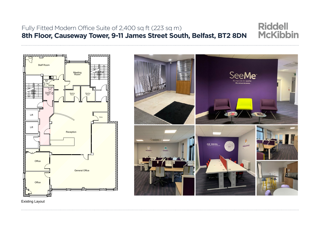#### **Riddell** Fully Fitted Modern Office Suite of 2,400 sq ft (223 sq m) **McKibbin 8th Floor, Causeway Tower, 9-11 James Street South, Belfast, BT2 8DN**



SeeMe<sup>®</sup> **CANDIDATE FIRST** 

Existing Layout